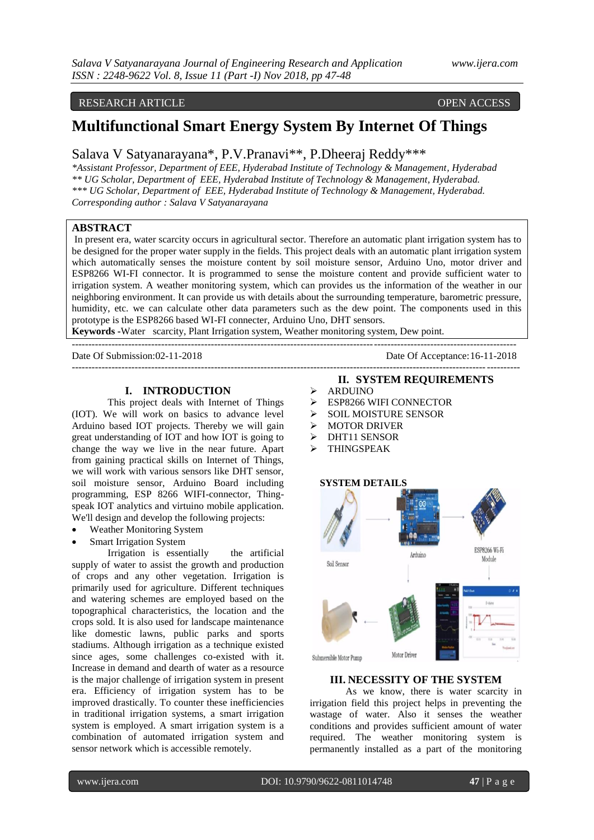# RESEARCH ARTICLE OPEN ACCESS

# **Multifunctional Smart Energy System By Internet Of Things**

# Salava V Satyanarayana\*, P.V.Pranavi\*\*, P.Dheeraj Reddy\*\*\*

*\*Assistant Professor, Department of EEE, Hyderabad Institute of Technology & Management, Hyderabad \*\* UG Scholar, Department of EEE, Hyderabad Institute of Technology & Management, Hyderabad. \*\*\* UG Scholar, Department of EEE, Hyderabad Institute of Technology & Management, Hyderabad. Corresponding author : Salava V Satyanarayana*

# **ABSTRACT**

In present era, water scarcity occurs in agricultural sector. Therefore an automatic plant irrigation system has to be designed for the proper water supply in the fields. This project deals with an automatic plant irrigation system which automatically senses the moisture content by soil moisture sensor, Arduino Uno, motor driver and ESP8266 WI-FI connector. It is programmed to sense the moisture content and provide sufficient water to irrigation system. A weather monitoring system, which can provides us the information of the weather in our neighboring environment. It can provide us with details about the surrounding temperature, barometric pressure, humidity, etc. we can calculate other data parameters such as the dew point. The components used in this prototype is the ESP8266 based WI-FI connecter, Arduino Uno, DHT sensors.

**Keywords -**Water scarcity, Plant Irrigation system, Weather monitoring system, Dew point.

--------------------------------------------------------------------------------------------------------------------------------------

# **I. INTRODUCTION**

This project deals with Internet of Things (IOT). We will work on basics to advance level Arduino based IOT projects. Thereby we will gain great understanding of IOT and how IOT is going to change the way we live in the near future. Apart from gaining practical skills on Internet of Things, we will work with various sensors like DHT sensor, soil moisture sensor, Arduino Board including programming, ESP 8266 WIFI-connector, Thingspeak IOT analytics and virtuino mobile application. We'll design and develop the following projects:

- Weather Monitoring System
- Smart Irrigation System

Irrigation is essentially the artificial supply of water to assist the growth and production of crops and any other vegetation. Irrigation is primarily used for agriculture. Different techniques and watering schemes are employed based on the topographical characteristics, the location and the crops sold. It is also used for landscape maintenance like domestic lawns, public parks and sports stadiums. Although irrigation as a technique existed since ages, some challenges co-existed with it. Increase in demand and dearth of water as a resource is the major challenge of irrigation system in present era. Efficiency of irrigation system has to be improved drastically. To counter these inefficiencies in traditional irrigation systems, a smart irrigation system is employed. A smart irrigation system is a combination of automated irrigation system and sensor network which is accessible remotely.

### **II. SYSTEM REQUIREMENTS**

Date Of Acceptance: 16-11-2018 ---------------------------------------------------------------------------------------------------------------------------------------

- > ARDUINO
- ESP8266 WIFI CONNECTOR
- $\triangleright$  SOIL MOISTURE SENSOR
- > MOTOR DRIVER
- > DHT11 SENSOR
- THINGSPEAK



### **III. NECESSITY OF THE SYSTEM**

As we know, there is water scarcity in irrigation field this project helps in preventing the wastage of water. Also it senses the weather conditions and provides sufficient amount of water required. The weather monitoring system is permanently installed as a part of the monitoring